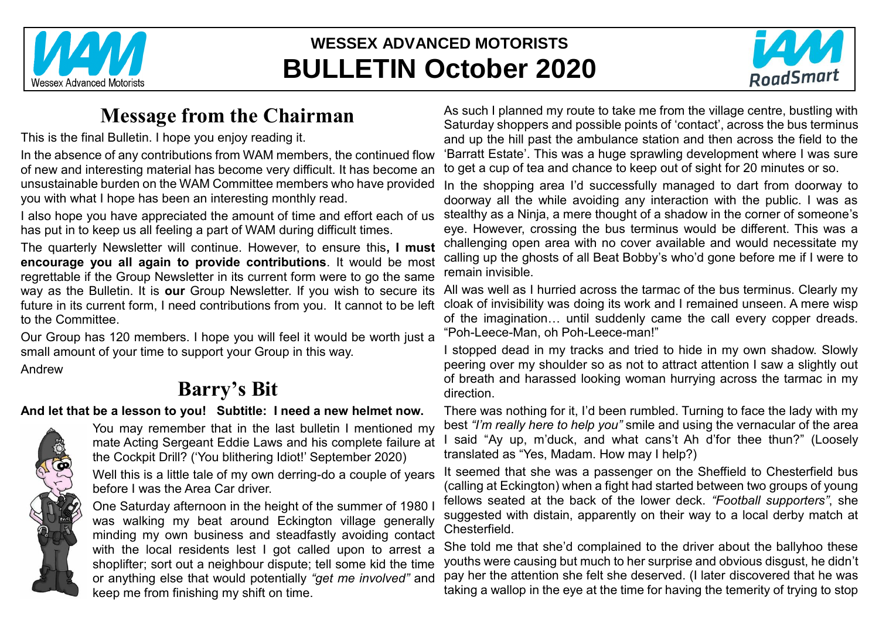

# **WESSEX ADVANCED MOTORISTS BULLETIN October 2020**



# **Message from the Chairman**

This is the final Bulletin. I hope you enjoy reading it.

In the absence of any contributions from WAM members, the continued flow of new and interesting material has become very difficult. It has become an unsustainable burden on the WAM Committee members who have provided you with what I hope has been an interesting monthly read.

I also hope you have appreciated the amount of time and effort each of us has put in to keep us all feeling a part of WAM during difficult times.

The quarterly Newsletter will continue. However, to ensure this**, I must encourage you all again to provide contributions**. It would be most regrettable if the Group Newsletter in its current form were to go the same way as the Bulletin. It is **our** Group Newsletter. If you wish to secure its future in its current form, I need contributions from you. It cannot to be left to the Committee.

Our Group has 120 members. I hope you will feel it would be worth just a small amount of your time to support your Group in this way.

Andrew

# **Barry's Bit**

#### **And let that be a lesson to you! Subtitle: I need a new helmet now.**



You may remember that in the last bulletin I mentioned my mate Acting Sergeant Eddie Laws and his complete failure at the Cockpit Drill? ('You blithering Idiot!' September 2020)

Well this is a little tale of my own derring-do a couple of years before I was the Area Car driver.

One Saturday afternoon in the height of the summer of 1980 I was walking my beat around Eckington village generally minding my own business and steadfastly avoiding contact with the local residents lest I got called upon to arrest a shoplifter; sort out a neighbour dispute; tell some kid the time or anything else that would potentially *"get me involved"* and keep me from finishing my shift on time.

As such I planned my route to take me from the village centre, bustling with Saturday shoppers and possible points of 'contact', across the bus terminus and up the hill past the ambulance station and then across the field to the 'Barratt Estate'. This was a huge sprawling development where I was sure to get a cup of tea and chance to keep out of sight for 20 minutes or so.

In the shopping area I'd successfully managed to dart from doorway to doorway all the while avoiding any interaction with the public. I was as stealthy as a Ninja, a mere thought of a shadow in the corner of someone's eye. However, crossing the bus terminus would be different. This was a challenging open area with no cover available and would necessitate my calling up the ghosts of all Beat Bobby's who'd gone before me if I were to remain invisible.

All was well as I hurried across the tarmac of the bus terminus. Clearly my cloak of invisibility was doing its work and I remained unseen. A mere wisp of the imagination… until suddenly came the call every copper dreads. "Poh-Leece-Man, oh Poh-Leece-man!"

I stopped dead in my tracks and tried to hide in my own shadow. Slowly peering over my shoulder so as not to attract attention I saw a slightly out of breath and harassed looking woman hurrying across the tarmac in my direction.

There was nothing for it, I'd been rumbled. Turning to face the lady with my best *"I'm really here to help you"* smile and using the vernacular of the area I said "Ay up, m'duck, and what cans't Ah d'for thee thun?" (Loosely translated as "Yes, Madam. How may I help?)

It seemed that she was a passenger on the Sheffield to Chesterfield bus (calling at Eckington) when a fight had started between two groups of young fellows seated at the back of the lower deck. *"Football supporters"*, she suggested with distain, apparently on their way to a local derby match at **Chesterfield** 

She told me that she'd complained to the driver about the ballyhoo these youths were causing but much to her surprise and obvious disgust, he didn't pay her the attention she felt she deserved. (I later discovered that he was taking a wallop in the eye at the time for having the temerity of trying to stop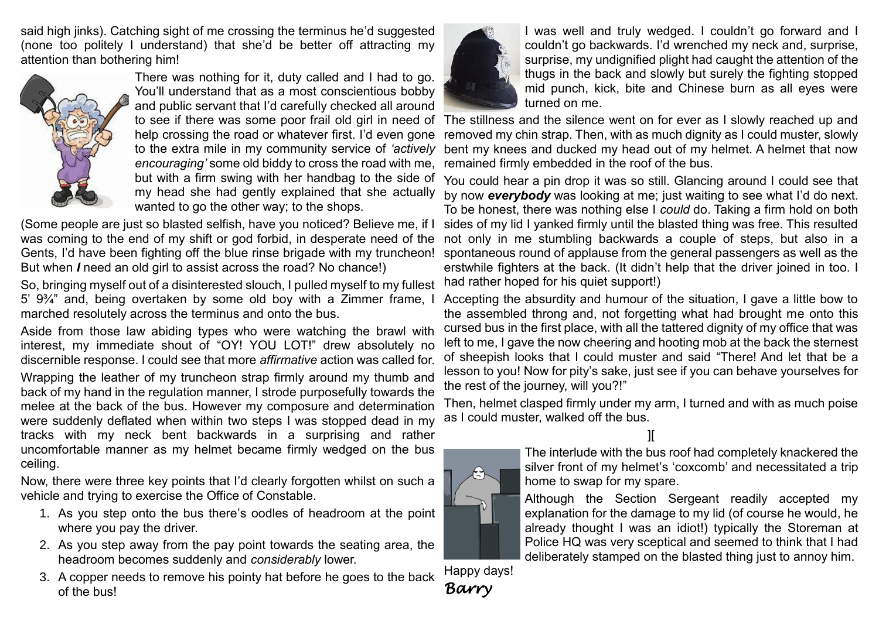said high jinks). Catching sight of me crossing the terminus he'd suggested (none too politely I understand) that she'd be better off attracting my attention than bothering him!



There was nothing for it, duty called and I had to go. You'll understand that as a most conscientious bobby and public servant that I'd carefully checked all around help crossing the road or whatever first. I'd even gone to the extra mile in my community service of *'actively encouraging'* some old biddy to cross the road with me, but with a firm swing with her handbag to the side of my head she had gently explained that she actually wanted to go the other way; to the shops.

(Some people are just so blasted selfish, have you noticed? Believe me, if I was coming to the end of my shift or god forbid, in desperate need of the Gents, I'd have been fighting off the blue rinse brigade with my truncheon! But when *I* need an old girl to assist across the road? No chance!)

So, bringing myself out of a disinterested slouch, I pulled myself to my fullest 5' 9¾" and, being overtaken by some old boy with a Zimmer frame, I marched resolutely across the terminus and onto the bus.

Aside from those law abiding types who were watching the brawl with interest, my immediate shout of "OY! YOU LOT!" drew absolutely no discernible response. I could see that more *affirmative* action was called for. Wrapping the leather of my truncheon strap firmly around my thumb and back of my hand in the regulation manner, I strode purposefully towards the melee at the back of the bus. However my composure and determination were suddenly deflated when within two steps I was stopped dead in my tracks with my neck bent backwards in a surprising and rather uncomfortable manner as my helmet became firmly wedged on the bus ceiling.

Now, there were three key points that I'd clearly forgotten whilst on such a vehicle and trying to exercise the Office of Constable.

- 1. As you step onto the bus there's oodles of headroom at the point where you pay the driver.
- 2. As you step away from the pay point towards the seating area, the headroom becomes suddenly and *considerably* lower.
- 3. A copper needs to remove his pointy hat before he goes to the back of the bus!



I was well and truly wedged. I couldn't go forward and I couldn't go backwards. I'd wrenched my neck and, surprise, surprise, my undignified plight had caught the attention of the thugs in the back and slowly but surely the fighting stopped mid punch, kick, bite and Chinese burn as all eyes were turned on me.

to see if there was some poor frail old girl in need of The stillness and the silence went on for ever as I slowly reached up and removed my chin strap. Then, with as much dignity as I could muster, slowly bent my knees and ducked my head out of my helmet. A helmet that now remained firmly embedded in the roof of the bus.

> You could hear a pin drop it was so still. Glancing around I could see that by now *everybody* was looking at me; just waiting to see what I'd do next. To be honest, there was nothing else I *could* do. Taking a firm hold on both sides of my lid I yanked firmly until the blasted thing was free. This resulted not only in me stumbling backwards a couple of steps, but also in a spontaneous round of applause from the general passengers as well as the erstwhile fighters at the back. (It didn't help that the driver joined in too. I had rather hoped for his quiet support!)

> Accepting the absurdity and humour of the situation, I gave a little bow to the assembled throng and, not forgetting what had brought me onto this cursed bus in the first place, with all the tattered dignity of my office that was left to me, I gave the now cheering and hooting mob at the back the sternest of sheepish looks that I could muster and said "There! And let that be a lesson to you! Now for pity's sake, just see if you can behave yourselves for the rest of the journey, will you?!"

> Then, helmet clasped firmly under my arm, I turned and with as much poise as I could muster, walked off the bus.

> > ][



The interlude with the bus roof had completely knackered the silver front of my helmet's 'coxcomb' and necessitated a trip home to swap for my spare.

Although the Section Sergeant readily accepted my explanation for the damage to my lid (of course he would, he already thought I was an idiot!) typically the Storeman at Police HQ was very sceptical and seemed to think that I had deliberately stamped on the blasted thing just to annoy him.

Happy days! *Barry*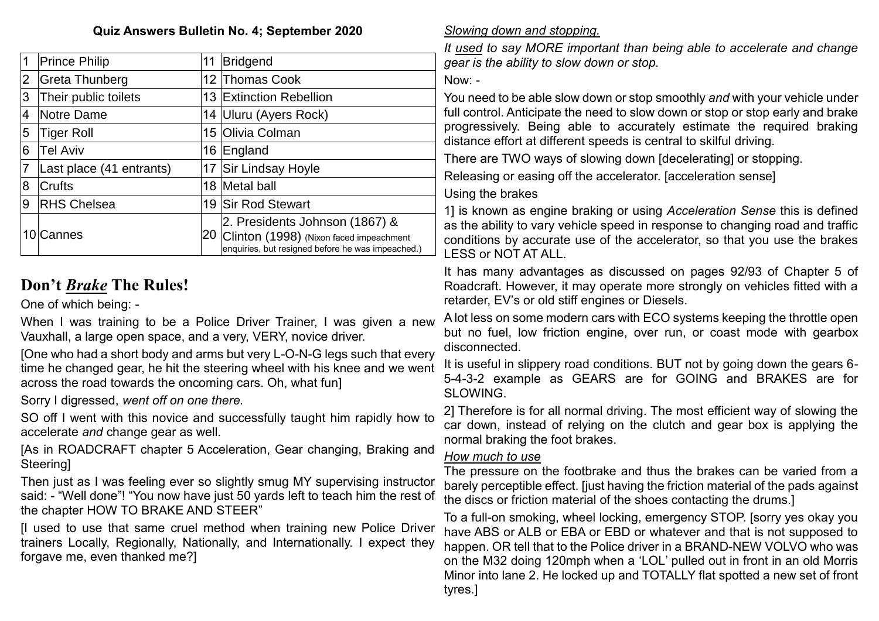#### **Quiz Answers Bulletin No. 4; September 2020**

| 1 | <b>Prince Philip</b>     | 11  | Bridgend                                                                                                                       |  |
|---|--------------------------|-----|--------------------------------------------------------------------------------------------------------------------------------|--|
| 2 | Greta Thunberg           |     | 12 Thomas Cook                                                                                                                 |  |
| 3 | Their public toilets     |     | 13 Extinction Rebellion                                                                                                        |  |
| 4 | Notre Dame               |     | 14 Uluru (Ayers Rock)                                                                                                          |  |
| 5 | Tiger Roll               |     | 15 Olivia Colman                                                                                                               |  |
| 6 | <b>Tel Aviv</b>          |     | 16 England                                                                                                                     |  |
| 7 | Last place (41 entrants) |     | 17 Sir Lindsay Hoyle                                                                                                           |  |
| 8 | <b>Crufts</b>            |     | 18 Metal ball                                                                                                                  |  |
| 9 | <b>RHS Chelsea</b>       | 19  | <b>Sir Rod Stewart</b>                                                                                                         |  |
|   | 10 Cannes                | ,20 | 2. Presidents Johnson (1867) &<br>Clinton (1998) (Nixon faced impeachment<br>enquiries, but resigned before he was impeached.) |  |

# **Don't** *Brake* **The Rules!**

One of which being: -

When I was training to be a Police Driver Trainer, I was given a new Vauxhall, a large open space, and a very, VERY, novice driver.

[One who had a short body and arms but very L-O-N-G legs such that every time he changed gear, he hit the steering wheel with his knee and we went across the road towards the oncoming cars. Oh, what fun]

Sorry I digressed, *went off on one there.*

SO off I went with this novice and successfully taught him rapidly how to accelerate *and* change gear as well.

[As in ROADCRAFT chapter 5 Acceleration, Gear changing, Braking and **Steering** 

Then just as I was feeling ever so slightly smug MY supervising instructor said: - "Well done"! "You now have just 50 yards left to teach him the rest of the chapter HOW TO BRAKE AND STEER"

[I used to use that same cruel method when training new Police Driver trainers Locally, Regionally, Nationally, and Internationally. I expect they forgave me, even thanked me?]

#### *Slowing down and stopping.*

*It used to say MORE important than being able to accelerate and change gear is the ability to slow down or stop.*

Now: -

You need to be able slow down or stop smoothly *and* with your vehicle under full control. Anticipate the need to slow down or stop or stop early and brake progressively. Being able to accurately estimate the required braking distance effort at different speeds is central to skilful driving.

There are TWO ways of slowing down [decelerating] or stopping.

Releasing or easing off the accelerator. [acceleration sense]

Using the brakes

1] is known as engine braking or using *Acceleration Sense* this is defined as the ability to vary vehicle speed in response to changing road and traffic conditions by accurate use of the accelerator, so that you use the brakes LESS or NOT AT ALL.

It has many advantages as discussed on pages 92/93 of Chapter 5 of Roadcraft. However, it may operate more strongly on vehicles fitted with a retarder, EV's or old stiff engines or Diesels.

A lot less on some modern cars with ECO systems keeping the throttle open but no fuel, low friction engine, over run, or coast mode with gearbox disconnected.

It is useful in slippery road conditions. BUT not by going down the gears 6- 5-4-3-2 example as GEARS are for GOING and BRAKES are for SLOWING.

2] Therefore is for all normal driving. The most efficient way of slowing the car down, instead of relying on the clutch and gear box is applying the normal braking the foot brakes.

#### *How much to use*

The pressure on the footbrake and thus the brakes can be varied from a barely perceptible effect. [just having the friction material of the pads against the discs or friction material of the shoes contacting the drums.]

To a full-on smoking, wheel locking, emergency STOP. [sorry yes okay you have ABS or ALB or EBA or EBD or whatever and that is not supposed to happen. OR tell that to the Police driver in a BRAND-NEW VOLVO who was on the M32 doing 120mph when a 'LOL' pulled out in front in an old Morris Minor into lane 2. He locked up and TOTALLY flat spotted a new set of front tyres.]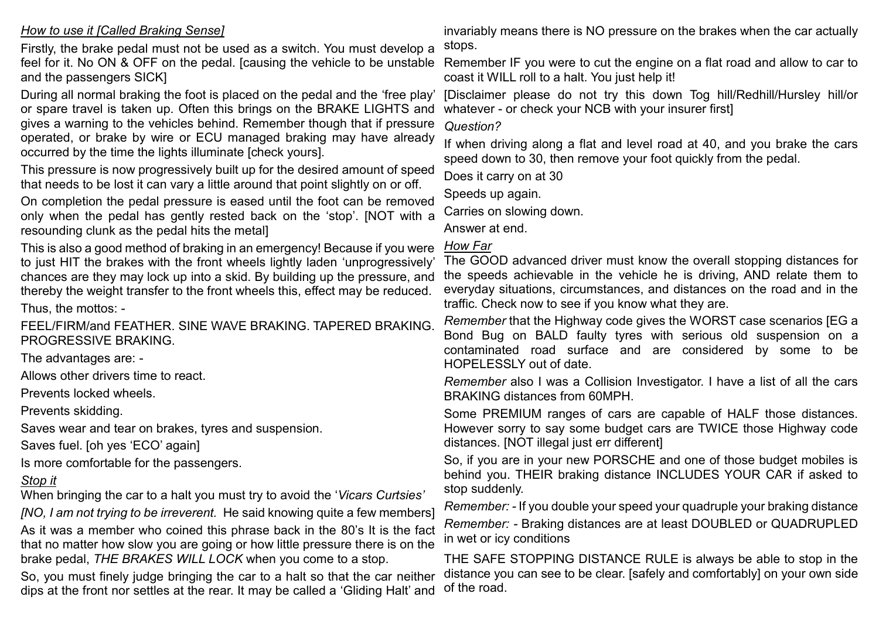#### *How to use it [Called Braking Sense]*

Firstly, the brake pedal must not be used as a switch. You must develop a feel for it. No ON & OFF on the pedal. [causing the vehicle to be unstable and the passengers SICK]

During all normal braking the foot is placed on the pedal and the 'free play' or spare travel is taken up. Often this brings on the BRAKE LIGHTS and gives a warning to the vehicles behind. Remember though that if pressure operated, or brake by wire or ECU managed braking may have already occurred by the time the lights illuminate [check yours].

This pressure is now progressively built up for the desired amount of speed that needs to be lost it can vary a little around that point slightly on or off.

On completion the pedal pressure is eased until the foot can be removed only when the pedal has gently rested back on the 'stop'. [NOT with a resounding clunk as the pedal hits the metal]

This is also a good method of braking in an emergency! Because if you were to just HIT the brakes with the front wheels lightly laden 'unprogressively' chances are they may lock up into a skid. By building up the pressure, and thereby the weight transfer to the front wheels this, effect may be reduced.

Thus, the mottos: -

FEEL/FIRM/and FEATHER. SINE WAVE BRAKING. TAPERED BRAKING. PROGRESSIVE BRAKING.

The advantages are: -

Allows other drivers time to react.

Prevents locked wheels.

Prevents skidding.

Saves wear and tear on brakes, tyres and suspension.

Saves fuel. [oh yes 'ECO' again]

Is more comfortable for the passengers.

#### *Stop it*

When bringing the car to a halt you must try to avoid the '*Vicars Curtsies'*

*[NO, I am not trying to be irreverent.* He said knowing quite a few members]

As it was a member who coined this phrase back in the 80's It is the fact that no matter how slow you are going or how little pressure there is on the brake pedal, *THE BRAKES WILL LOCK* when you come to a stop.

So, you must finely judge bringing the car to a halt so that the car neither dips at the front nor settles at the rear. It may be called a 'Gliding Halt' and

invariably means there is NO pressure on the brakes when the car actually stops.

Remember IF you were to cut the engine on a flat road and allow to car to coast it WILL roll to a halt. You just help it!

[Disclaimer please do not try this down Tog hill/Redhill/Hursley hill/or whatever - or check your NCB with your insurer first]

*Question?* 

If when driving along a flat and level road at 40, and you brake the cars speed down to 30, then remove your foot quickly from the pedal.

Does it carry on at 30

Speeds up again.

Carries on slowing down.

Answer at end.

#### *How Far*

The GOOD advanced driver must know the overall stopping distances for the speeds achievable in the vehicle he is driving, AND relate them to everyday situations, circumstances, and distances on the road and in the traffic. Check now to see if you know what they are.

*Remember* that the Highway code gives the WORST case scenarios [EG a Bond Bug on BALD faulty tyres with serious old suspension on a contaminated road surface and are considered by some to be HOPELESSLY out of date.

*Remember* also I was a Collision Investigator. I have a list of all the cars BRAKING distances from 60MPH.

Some PREMIUM ranges of cars are capable of HALF those distances. However sorry to say some budget cars are TWICE those Highway code distances. [NOT illegal just err different]

So, if you are in your new PORSCHE and one of those budget mobiles is behind you. THEIR braking distance INCLUDES YOUR CAR if asked to stop suddenly.

*Remember: -* If you double your speed your quadruple your braking distance *Remember: -* Braking distances are at least DOUBLED or QUADRUPLED in wet or icy conditions

THE SAFE STOPPING DISTANCE RULE is always be able to stop in the distance you can see to be clear. [safely and comfortably] on your own side of the road.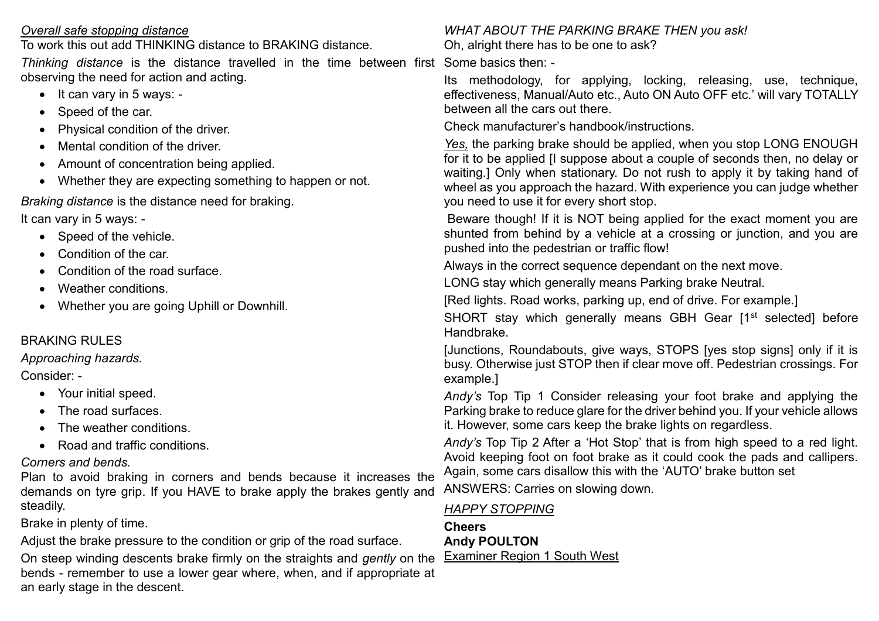| Overall safe stopping distance                                                            | <b>WHAT ABOUT THE PARKING BRAKE THEN you ask!</b>                                                                                                    |  |  |
|-------------------------------------------------------------------------------------------|------------------------------------------------------------------------------------------------------------------------------------------------------|--|--|
| To work this out add THINKING distance to BRAKING distance.                               | Oh, alright there has to be one to ask?                                                                                                              |  |  |
| Thinking distance is the distance travelled in the time between first Some basics then: - |                                                                                                                                                      |  |  |
| observing the need for action and acting.                                                 | Its methodology, for applying, locking, releasing, use, technique,                                                                                   |  |  |
| It can vary in 5 ways: -<br>$\bullet$                                                     | effectiveness, Manual/Auto etc., Auto ON Auto OFF etc.' will vary TOTALLY                                                                            |  |  |
| Speed of the car.<br>$\bullet$                                                            | between all the cars out there.                                                                                                                      |  |  |
| Physical condition of the driver.<br>$\bullet$                                            | Check manufacturer's handbook/instructions.                                                                                                          |  |  |
| Mental condition of the driver.<br>$\bullet$                                              | Yes, the parking brake should be applied, when you stop LONG ENOUGH                                                                                  |  |  |
| Amount of concentration being applied.                                                    | for it to be applied [I suppose about a couple of seconds then, no delay or                                                                          |  |  |
| Whether they are expecting something to happen or not.<br>$\bullet$                       | waiting.] Only when stationary. Do not rush to apply it by taking hand of<br>wheel as you approach the hazard. With experience you can judge whether |  |  |
| Braking distance is the distance need for braking.                                        | you need to use it for every short stop.                                                                                                             |  |  |
| It can vary in 5 ways: -                                                                  | Beware though! If it is NOT being applied for the exact moment you are                                                                               |  |  |
| Speed of the vehicle.<br>$\bullet$                                                        | shunted from behind by a vehicle at a crossing or junction, and you are                                                                              |  |  |
| Condition of the car.<br>$\bullet$                                                        | pushed into the pedestrian or traffic flow!                                                                                                          |  |  |
| Condition of the road surface.<br>$\bullet$                                               | Always in the correct sequence dependant on the next move.                                                                                           |  |  |
| Weather conditions.<br>$\bullet$                                                          | LONG stay which generally means Parking brake Neutral.                                                                                               |  |  |
| Whether you are going Uphill or Downhill.<br>$\bullet$                                    | [Red lights. Road works, parking up, end of drive. For example.]                                                                                     |  |  |
|                                                                                           | SHORT stay which generally means GBH Gear [1 <sup>st</sup> selected] before                                                                          |  |  |
| <b>BRAKING RULES</b>                                                                      | Handbrake.                                                                                                                                           |  |  |
| Approaching hazards.                                                                      | [Junctions, Roundabouts, give ways, STOPS [yes stop signs] only if it is                                                                             |  |  |
| Consider: -                                                                               | busy. Otherwise just STOP then if clear move off. Pedestrian crossings. For<br>example.]                                                             |  |  |
| • Your initial speed.                                                                     | Andy's Top Tip 1 Consider releasing your foot brake and applying the                                                                                 |  |  |
| The road surfaces.                                                                        | Parking brake to reduce glare for the driver behind you. If your vehicle allows                                                                      |  |  |
| The weather conditions.                                                                   | it. However, some cars keep the brake lights on regardless.                                                                                          |  |  |
| • Road and traffic conditions.                                                            | Andy's Top Tip 2 After a 'Hot Stop' that is from high speed to a red light.                                                                          |  |  |
| Corners and bends.                                                                        | Avoid keeping foot on foot brake as it could cook the pads and callipers.                                                                            |  |  |
| Plan to avoid braking in corners and bends because it increases the                       | Again, some cars disallow this with the 'AUTO' brake button set                                                                                      |  |  |
| demands on tyre grip. If you HAVE to brake apply the brakes gently and                    | ANSWERS: Carries on slowing down.                                                                                                                    |  |  |
| steadily.                                                                                 | <b>HAPPY STOPPING</b>                                                                                                                                |  |  |
| Brake in plenty of time.                                                                  | <b>Cheers</b>                                                                                                                                        |  |  |
| Adjust the brake pressure to the condition or grip of the road surface.                   | <b>Andy POULTON</b>                                                                                                                                  |  |  |

**Examiner Region 1 South West** 

Adjust the brake pressure to the condition or grip of the road surface.

On steep winding descents brake firmly on the straights and *gently* on the bends - remember to use a lower gear where, when, and if appropriate at an early stage in the descent.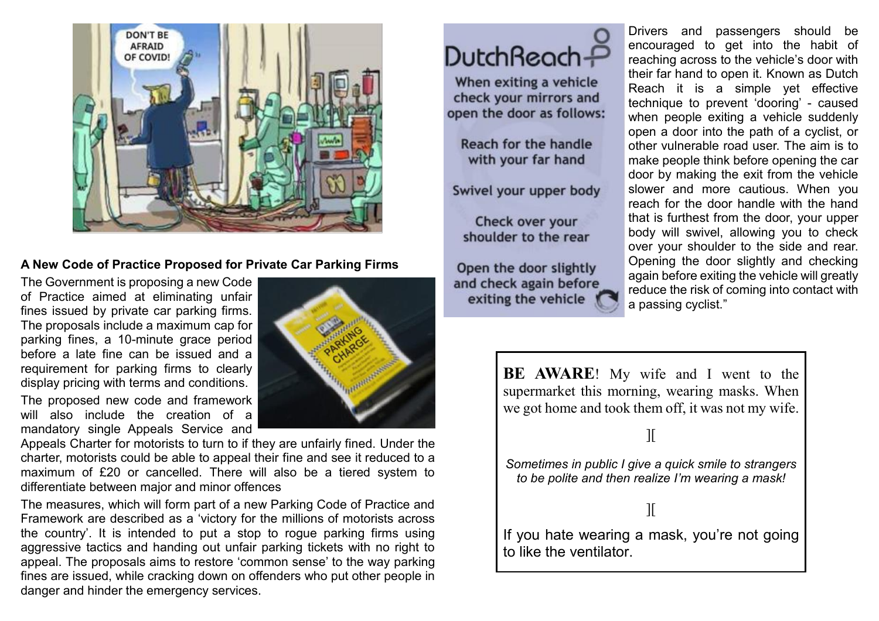

#### **A New Code of Practice Proposed for Private Car Parking Firms**

The Government is proposing a new Code of Practice aimed at eliminating unfair fines issued by private car parking firms. The proposals include a maximum cap for parking fines, a 10-minute grace period before a late fine can be issued and a requirement for parking firms to clearly display pricing with terms and conditions.

The proposed new code and framework will also include the creation of a mandatory single Appeals Service and



Appeals Charter for motorists to turn to if they are unfairly fined. Under the charter, motorists could be able to appeal their fine and see it reduced to a maximum of £20 or cancelled. There will also be a tiered system to differentiate between major and minor offences

The measures, which will form part of a new Parking Code of Practice and Framework are described as a 'victory for the millions of motorists across the country'. It is intended to put a stop to rogue parking firms using aggressive tactics and handing out unfair parking tickets with no right to appeal. The proposals aims to restore 'common sense' to the way parking fines are issued, while cracking down on offenders who put other people in danger and hinder the emergency services.

# DutchReach<sup>2</sup>

When exiting a vehicle check your mirrors and open the door as follows:

Reach for the handle with your far hand

Swivel your upper body

Check over your shoulder to the rear

Open the door slightly and check again before exiting the vehicle

Drivers and passengers should be encouraged to get into the habit of reaching across to the vehicle's door with their far hand to open it. Known as Dutch Reach it is a simple yet effective technique to prevent 'dooring' - caused when people exiting a vehicle suddenly open a door into the path of a cyclist, or other vulnerable road user. The aim is to make people think before opening the car door by making the exit from the vehicle slower and more cautious. When you reach for the door handle with the hand that is furthest from the door, your upper body will swivel, allowing you to check over your shoulder to the side and rear. Opening the door slightly and checking again before exiting the vehicle will greatly reduce the risk of coming into contact with a passing cyclist."

**BE AWARE**! My wife and I went to the supermarket this morning, wearing masks. When we got home and took them off, it was not my wife.

][

*Sometimes in public I give a quick smile to strangers to be polite and then realize I'm wearing a mask!*

#### ][

If you hate wearing a mask, you're not going to like the ventilator.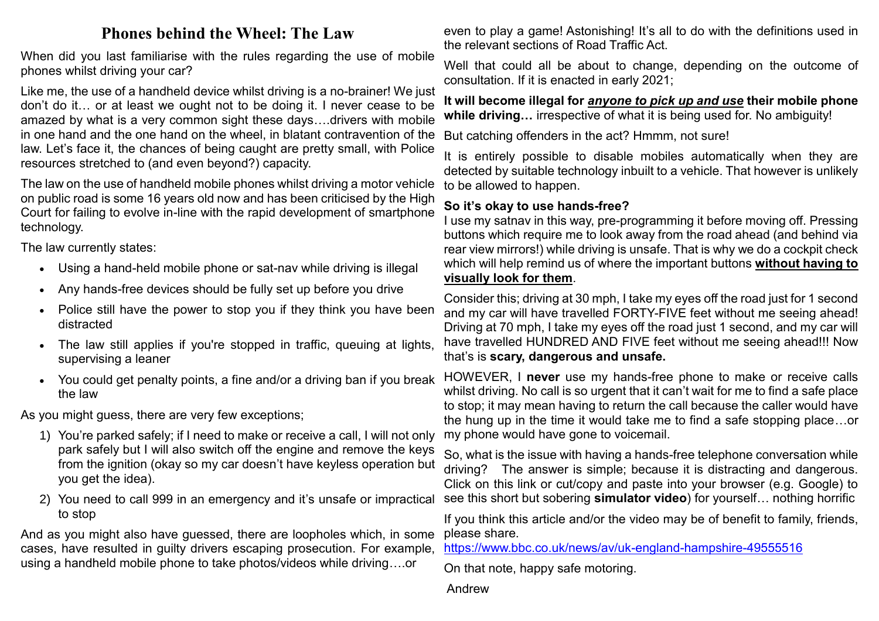## **Phones behind the Wheel: The Law**

When did you last familiarise with the rules regarding the use of mobile phones whilst driving your car?

Like me, the use of a handheld device whilst driving is a no-brainer! We just don't do it… or at least we ought not to be doing it. I never cease to be amazed by what is a very common sight these days….drivers with mobile in one hand and the one hand on the wheel, in blatant contravention of the law. Let's face it, the chances of being caught are pretty small, with Police resources stretched to (and even beyond?) capacity.

The law on the use of handheld mobile phones whilst driving a motor vehicle on public road is some 16 years old now and has been criticised by the High Court for failing to evolve in-line with the rapid development of smartphone technology.

The law currently states:

- Using a hand-held mobile phone or sat-nav while driving is illegal
- Any hands-free devices should be fully set up before you drive
- Police still have the power to stop you if they think you have been distracted
- The law still applies if you're stopped in traffic, queuing at lights, supervising a leaner
- You could get penalty points, a fine and/or a driving ban if you break the law

As you might guess, there are very few exceptions;

- 1) You're parked safely; if I need to make or receive a call, I will not only park safely but I will also switch off the engine and remove the keys from the ignition (okay so my car doesn't have keyless operation but you get the idea).
- 2) You need to call 999 in an emergency and it's unsafe or impractical to stop

And as you might also have guessed, there are loopholes which, in some cases, have resulted in guilty drivers escaping prosecution. For example, using a handheld mobile phone to take photos/videos while driving….or

even to play a game! Astonishing! It's all to do with the definitions used in the relevant sections of Road Traffic Act.

Well that could all be about to change, depending on the outcome of consultation. If it is enacted in early 2021;

**It will become illegal for** *anyone to pick up and use* **their mobile phone while driving…** irrespective of what it is being used for. No ambiguity!

But catching offenders in the act? Hmmm, not sure!

It is entirely possible to disable mobiles automatically when they are detected by suitable technology inbuilt to a vehicle. That however is unlikely to be allowed to happen.

#### **So it's okay to use hands-free?**

I use my satnav in this way, pre-programming it before moving off. Pressing buttons which require me to look away from the road ahead (and behind via rear view mirrors!) while driving is unsafe. That is why we do a cockpit check which will help remind us of where the important buttons **without having to visually look for them**.

Consider this; driving at 30 mph, I take my eyes off the road just for 1 second and my car will have travelled FORTY-FIVE feet without me seeing ahead! Driving at 70 mph, I take my eyes off the road just 1 second, and my car will have travelled HUNDRED AND FIVE feet without me seeing ahead!!! Now that's is **scary, dangerous and unsafe.**

HOWEVER, I **never** use my hands-free phone to make or receive calls whilst driving. No call is so urgent that it can't wait for me to find a safe place to stop; it may mean having to return the call because the caller would have the hung up in the time it would take me to find a safe stopping place…or my phone would have gone to voicemail.

So, what is the issue with having a hands-free telephone conversation while driving? The answer is simple; because it is distracting and dangerous. Click on this link or cut/copy and paste into your browser (e.g. Google) to see this short but sobering **simulator video**) for yourself… nothing horrific

If you think this article and/or the video may be of benefit to family, friends, please share.

<https://www.bbc.co.uk/news/av/uk-england-hampshire-49555516>

On that note, happy safe motoring.

Andrew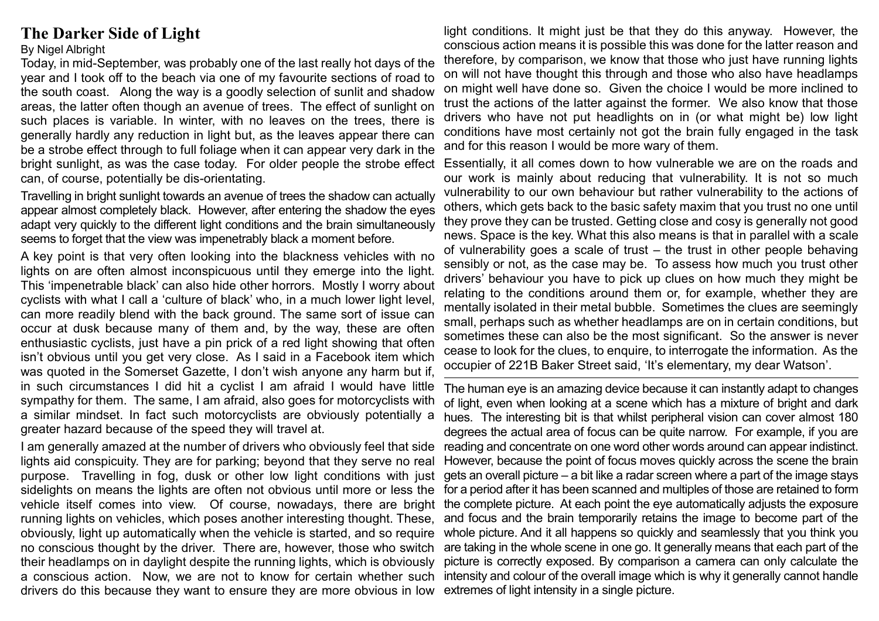### **The Darker Side of Light**

#### By Nigel Albright

Today, in mid-September, was probably one of the last really hot days of the year and I took off to the beach via one of my favourite sections of road to the south coast. Along the way is a goodly selection of sunlit and shadow areas, the latter often though an avenue of trees. The effect of sunlight on such places is variable. In winter, with no leaves on the trees, there is generally hardly any reduction in light but, as the leaves appear there can be a strobe effect through to full foliage when it can appear very dark in the bright sunlight, as was the case today. For older people the strobe effect can, of course, potentially be dis-orientating.

Travelling in bright sunlight towards an avenue of trees the shadow can actually appear almost completely black. However, after entering the shadow the eyes adapt very quickly to the different light conditions and the brain simultaneously seems to forget that the view was impenetrably black a moment before.

A key point is that very often looking into the blackness vehicles with no lights on are often almost inconspicuous until they emerge into the light. This 'impenetrable black' can also hide other horrors. Mostly I worry about cyclists with what I call a 'culture of black' who, in a much lower light level, can more readily blend with the back ground. The same sort of issue can occur at dusk because many of them and, by the way, these are often enthusiastic cyclists, just have a pin prick of a red light showing that often isn't obvious until you get very close. As I said in a Facebook item which was quoted in the Somerset Gazette, I don't wish anyone any harm but if, in such circumstances I did hit a cyclist I am afraid I would have little sympathy for them. The same, I am afraid, also goes for motorcyclists with a similar mindset. In fact such motorcyclists are obviously potentially a greater hazard because of the speed they will travel at.

I am generally amazed at the number of drivers who obviously feel that side lights aid conspicuity. They are for parking; beyond that they serve no real drivers do this because they want to ensure they are more obvious in low extremes of light intensity in a single picture.

light conditions. It might just be that they do this anyway. However, the conscious action means it is possible this was done for the latter reason and therefore, by comparison, we know that those who just have running lights on will not have thought this through and those who also have headlamps on might well have done so. Given the choice I would be more inclined to trust the actions of the latter against the former. We also know that those drivers who have not put headlights on in (or what might be) low light conditions have most certainly not got the brain fully engaged in the task and for this reason I would be more wary of them.

Essentially, it all comes down to how vulnerable we are on the roads and our work is mainly about reducing that vulnerability. It is not so much vulnerability to our own behaviour but rather vulnerability to the actions of others, which gets back to the basic safety maxim that you trust no one until they prove they can be trusted. Getting close and cosy is generally not good news. Space is the key. What this also means is that in parallel with a scale of vulnerability goes a scale of trust – the trust in other people behaving sensibly or not, as the case may be. To assess how much you trust other drivers' behaviour you have to pick up clues on how much they might be relating to the conditions around them or, for example, whether they are mentally isolated in their metal bubble. Sometimes the clues are seemingly small, perhaps such as whether headlamps are on in certain conditions, but sometimes these can also be the most significant. So the answer is never cease to look for the clues, to enquire, to interrogate the information. As the occupier of 221B Baker Street said, 'It's elementary, my dear Watson'.

purpose. Travelling in fog, dusk or other low light conditions with just gets an overall picture – a bit like a radar screen where a part of the image stays sidelights on means the lights are often not obvious until more or less the for a period after it has been scanned and multiples of those are retained to form vehicle itself comes into view. Of course, nowadays, there are bright the complete picture. At each point the eye automatically adjusts the exposure running lights on vehicles, which poses another interesting thought. These, and focus and the brain temporarily retains the image to become part of the obviously, light up automatically when the vehicle is started, and so require whole picture. And it all happens so quickly and seamlessly that you think you no conscious thought by the driver. There are, however, those who switch are taking in the whole scene in one go. It generally means that each part of the their headlamps on in daylight despite the running lights, which is obviously picture is correctly exposed. By comparison a camera can only calculate the a conscious action. Now, we are not to know for certain whether such intensity and colour of the overall image which is why it generally cannot handle The human eye is an amazing device because it can instantly adapt to changes of light, even when looking at a scene which has a mixture of bright and dark hues. The interesting bit is that whilst peripheral vision can cover almost 180 degrees the actual area of focus can be quite narrow. For example, if you are reading and concentrate on one word other words around can appear indistinct. However, because the point of focus moves quickly across the scene the brain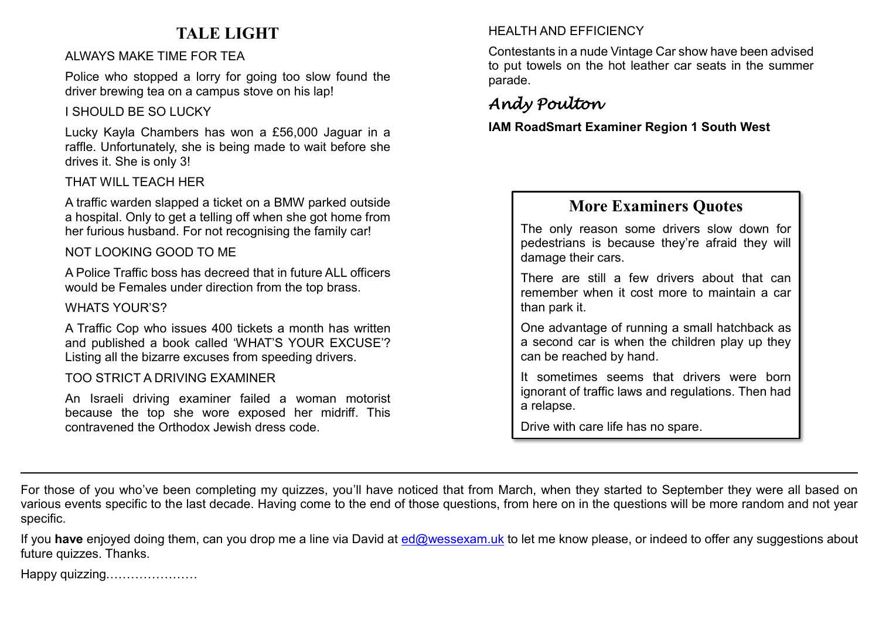# **TALE LIGHT**

#### ALWAYS MAKE TIME FOR TEA

Police who stopped a lorry for going too slow found the driver brewing tea on a campus stove on his lap!

#### I SHOULD BE SO LUCKY

Lucky Kayla Chambers has won a £56,000 Jaguar in a raffle. Unfortunately, she is being made to wait before she drives it. She is only 3!

#### THAT WILL TEACH HER

A traffic warden slapped a ticket on a BMW parked outside a hospital. Only to get a telling off when she got home from her furious husband. For not recognising the family car!

#### NOT LOOKING GOOD TO ME

A Police Traffic boss has decreed that in future ALL officers would be Females under direction from the top brass.

#### WHATS YOUR'S?

A Traffic Cop who issues 400 tickets a month has written and published a book called 'WHAT'S YOUR EXCUSE'? Listing all the bizarre excuses from speeding drivers.

#### TOO STRICT A DRIVING EXAMINER

An Israeli driving examiner failed a woman motorist because the top she wore exposed her midriff. This contravened the Orthodox Jewish dress code.

#### HEALTH AND EFFICIENCY

Contestants in a nude Vintage Car show have been advised to put towels on the hot leather car seats in the summer parade.

# *Andy Poulton*

**IAM RoadSmart Examiner Region 1 South West**

## **More Examiners Quotes**

The only reason some drivers slow down for pedestrians is because they're afraid they will damage their cars.

There are still a few drivers about that can remember when it cost more to maintain a car than park it.

One advantage of running a small hatchback as a second car is when the children play up they can be reached by hand.

It sometimes seems that drivers were born ignorant of traffic laws and regulations. Then had a relapse.

Drive with care life has no spare.

For those of you who've been completing my quizzes, you'll have noticed that from March, when they started to September they were all based on various events specific to the last decade. Having come to the end of those questions, from here on in the questions will be more random and not year specific.

If you have enjoyed doing them, can you drop me a line via David at [ed@wessexam.uk](mailto:ed@wessexam.uk) to let me know please, or indeed to offer any suggestions about future quizzes. Thanks.

Happy quizzing.…………………